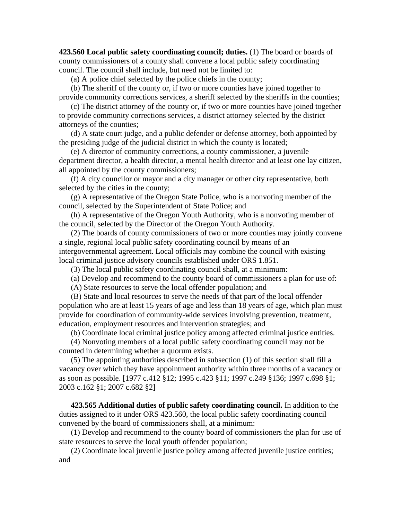**423.560 Local public safety coordinating council; duties.** (1) The board or boards of county commissioners of a county shall convene a local public safety coordinating council. The council shall include, but need not be limited to:

(a) A police chief selected by the police chiefs in the county;

 (b) The sheriff of the county or, if two or more counties have joined together to provide community corrections services, a sheriff selected by the sheriffs in the counties;

 (c) The district attorney of the county or, if two or more counties have joined together to provide community corrections services, a district attorney selected by the district attorneys of the counties;

 (d) A state court judge, and a public defender or defense attorney, both appointed by the presiding judge of the judicial district in which the county is located;

 (e) A director of community corrections, a county commissioner, a juvenile department director, a health director, a mental health director and at least one lay citizen, all appointed by the county commissioners;

 (f) A city councilor or mayor and a city manager or other city representative, both selected by the cities in the county;

 (g) A representative of the Oregon State Police, who is a nonvoting member of the council, selected by the Superintendent of State Police; and

 (h) A representative of the Oregon Youth Authority, who is a nonvoting member of the council, selected by the Director of the Oregon Youth Authority.

 (2) The boards of county commissioners of two or more counties may jointly convene a single, regional local public safety coordinating council by means of an intergovernmental agreement. Local officials may combine the council with existing local criminal justice advisory councils established under ORS 1.851.

(3) The local public safety coordinating council shall, at a minimum:

(a) Develop and recommend to the county board of commissioners a plan for use of:

(A) State resources to serve the local offender population; and

 (B) State and local resources to serve the needs of that part of the local offender population who are at least 15 years of age and less than 18 years of age, which plan must provide for coordination of community-wide services involving prevention, treatment, education, employment resources and intervention strategies; and

(b) Coordinate local criminal justice policy among affected criminal justice entities.

 (4) Nonvoting members of a local public safety coordinating council may not be counted in determining whether a quorum exists.

 (5) The appointing authorities described in subsection (1) of this section shall fill a vacancy over which they have appointment authority within three months of a vacancy or as soon as possible. [1977 c.412 §12; 1995 c.423 §11; 1997 c.249 §136; 1997 c.698 §1; 2003 c.162 §1; 2007 c.682 §2]

 **423.565 Additional duties of public safety coordinating council.** In addition to the duties assigned to it under ORS 423.560, the local public safety coordinating council convened by the board of commissioners shall, at a minimum:

 (1) Develop and recommend to the county board of commissioners the plan for use of state resources to serve the local youth offender population;

 (2) Coordinate local juvenile justice policy among affected juvenile justice entities; and